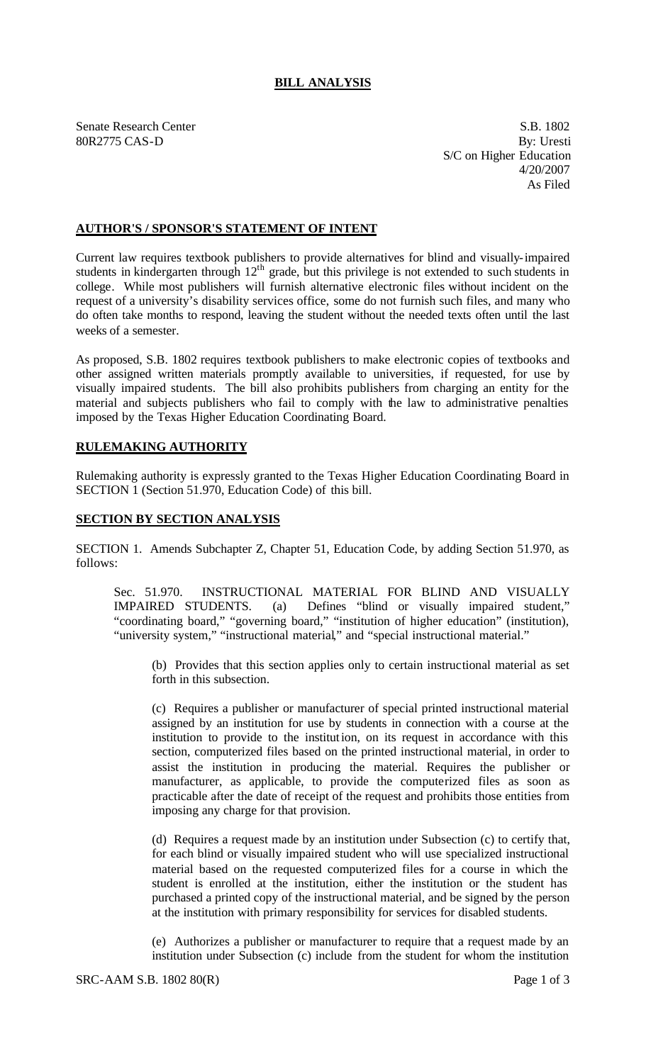## **BILL ANALYSIS**

Senate Research Center S.B. 1802 80R2775 CAS-D By: Uresti S/C on Higher Education 4/20/2007 As Filed

## **AUTHOR'S / SPONSOR'S STATEMENT OF INTENT**

Current law requires textbook publishers to provide alternatives for blind and visually-impaired students in kindergarten through  $12<sup>th</sup>$  grade, but this privilege is not extended to such students in college. While most publishers will furnish alternative electronic files without incident on the request of a university's disability services office, some do not furnish such files, and many who do often take months to respond, leaving the student without the needed texts often until the last weeks of a semester.

As proposed, S.B. 1802 requires textbook publishers to make electronic copies of textbooks and other assigned written materials promptly available to universities, if requested, for use by visually impaired students. The bill also prohibits publishers from charging an entity for the material and subjects publishers who fail to comply with the law to administrative penalties imposed by the Texas Higher Education Coordinating Board.

## **RULEMAKING AUTHORITY**

Rulemaking authority is expressly granted to the Texas Higher Education Coordinating Board in SECTION 1 (Section 51.970, Education Code) of this bill.

## **SECTION BY SECTION ANALYSIS**

SECTION 1. Amends Subchapter Z, Chapter 51, Education Code, by adding Section 51.970, as follows:

Sec. 51.970. INSTRUCTIONAL MATERIAL FOR BLIND AND VISUALLY IMPAIRED STUDENTS. (a) Defines "blind or visually impaired student," "coordinating board," "governing board," "institution of higher education" (institution), "university system," "instructional material," and "special instructional material."

(b) Provides that this section applies only to certain instructional material as set forth in this subsection.

(c) Requires a publisher or manufacturer of special printed instructional material assigned by an institution for use by students in connection with a course at the institution to provide to the institution, on its request in accordance with this section, computerized files based on the printed instructional material, in order to assist the institution in producing the material. Requires the publisher or manufacturer, as applicable, to provide the computerized files as soon as practicable after the date of receipt of the request and prohibits those entities from imposing any charge for that provision.

(d) Requires a request made by an institution under Subsection (c) to certify that, for each blind or visually impaired student who will use specialized instructional material based on the requested computerized files for a course in which the student is enrolled at the institution, either the institution or the student has purchased a printed copy of the instructional material, and be signed by the person at the institution with primary responsibility for services for disabled students.

(e) Authorizes a publisher or manufacturer to require that a request made by an institution under Subsection (c) include from the student for whom the institution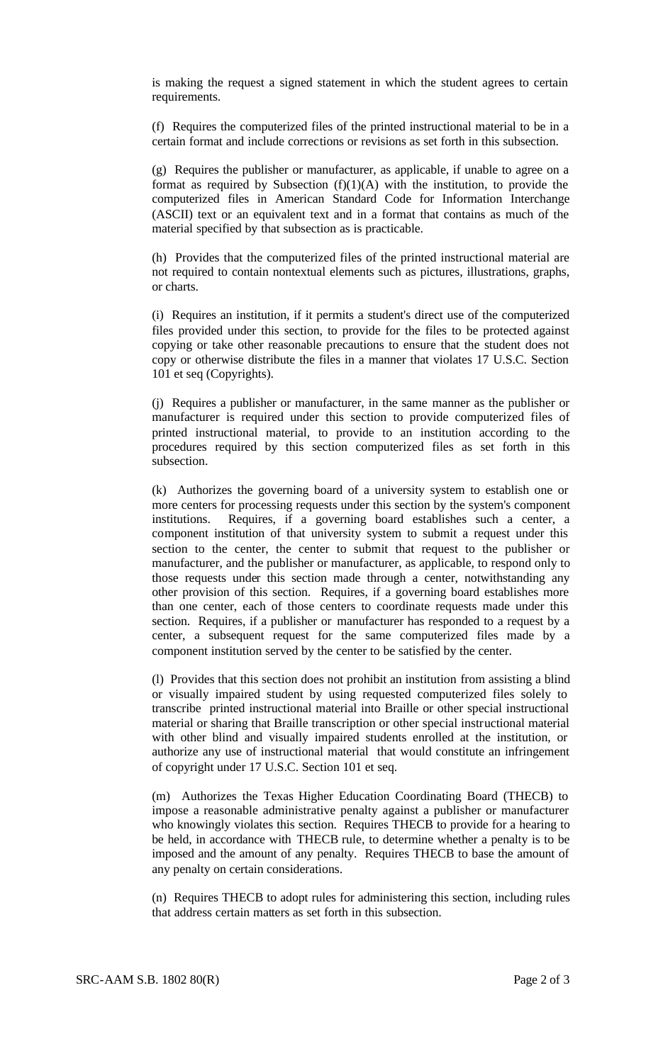is making the request a signed statement in which the student agrees to certain requirements.

(f) Requires the computerized files of the printed instructional material to be in a certain format and include corrections or revisions as set forth in this subsection.

(g) Requires the publisher or manufacturer, as applicable, if unable to agree on a format as required by Subsection  $(f)(1)(A)$  with the institution, to provide the computerized files in American Standard Code for Information Interchange (ASCII) text or an equivalent text and in a format that contains as much of the material specified by that subsection as is practicable.

(h) Provides that the computerized files of the printed instructional material are not required to contain nontextual elements such as pictures, illustrations, graphs, or charts.

(i) Requires an institution, if it permits a student's direct use of the computerized files provided under this section, to provide for the files to be protected against copying or take other reasonable precautions to ensure that the student does not copy or otherwise distribute the files in a manner that violates 17 U.S.C. Section 101 et seq (Copyrights).

(j) Requires a publisher or manufacturer, in the same manner as the publisher or manufacturer is required under this section to provide computerized files of printed instructional material, to provide to an institution according to the procedures required by this section computerized files as set forth in this subsection.

(k) Authorizes the governing board of a university system to establish one or more centers for processing requests under this section by the system's component institutions. Requires, if a governing board establishes such a center, a component institution of that university system to submit a request under this section to the center, the center to submit that request to the publisher or manufacturer, and the publisher or manufacturer, as applicable, to respond only to those requests under this section made through a center, notwithstanding any other provision of this section. Requires, if a governing board establishes more than one center, each of those centers to coordinate requests made under this section. Requires, if a publisher or manufacturer has responded to a request by a center, a subsequent request for the same computerized files made by a component institution served by the center to be satisfied by the center.

(l) Provides that this section does not prohibit an institution from assisting a blind or visually impaired student by using requested computerized files solely to transcribe printed instructional material into Braille or other special instructional material or sharing that Braille transcription or other special instructional material with other blind and visually impaired students enrolled at the institution, or authorize any use of instructional material that would constitute an infringement of copyright under 17 U.S.C. Section 101 et seq.

(m) Authorizes the Texas Higher Education Coordinating Board (THECB) to impose a reasonable administrative penalty against a publisher or manufacturer who knowingly violates this section. Requires THECB to provide for a hearing to be held, in accordance with THECB rule, to determine whether a penalty is to be imposed and the amount of any penalty. Requires THECB to base the amount of any penalty on certain considerations.

(n) Requires THECB to adopt rules for administering this section, including rules that address certain matters as set forth in this subsection.